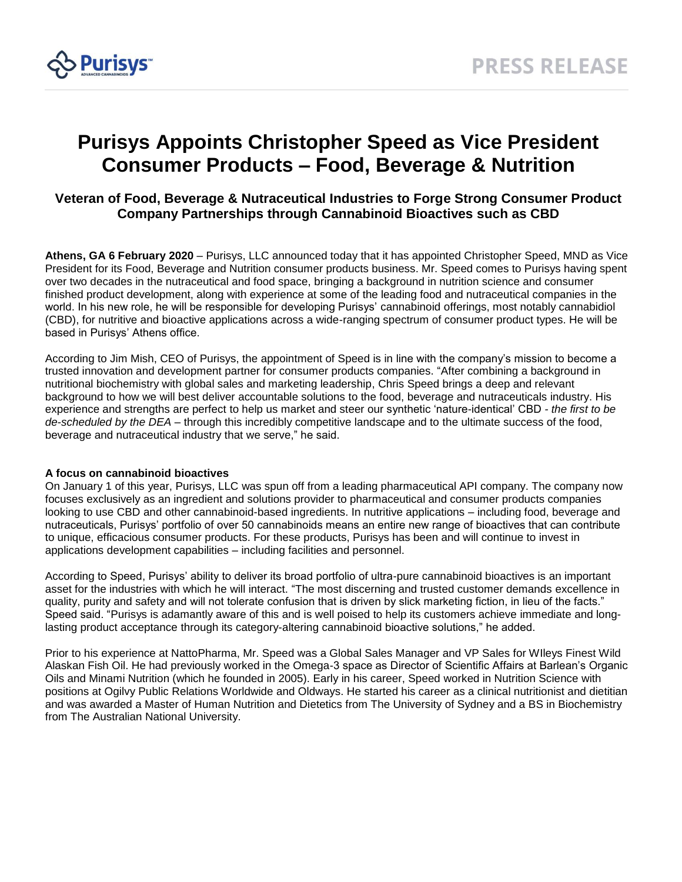

## **Purisys Appoints Christopher Speed as Vice President Consumer Products – Food, Beverage & Nutrition**

## **Veteran of Food, Beverage & Nutraceutical Industries to Forge Strong Consumer Product Company Partnerships through Cannabinoid Bioactives such as CBD**

**Athens, GA 6 February 2020** – Purisys, LLC announced today that it has appointed Christopher Speed, MND as Vice President for its Food, Beverage and Nutrition consumer products business. Mr. Speed comes to Purisys having spent over two decades in the nutraceutical and food space, bringing a background in nutrition science and consumer finished product development, along with experience at some of the leading food and nutraceutical companies in the world. In his new role, he will be responsible for developing Purisys' cannabinoid offerings, most notably cannabidiol (CBD), for nutritive and bioactive applications across a wide-ranging spectrum of consumer product types. He will be based in Purisys' Athens office.

According to Jim Mish, CEO of Purisys, the appointment of Speed is in line with the company's mission to become a trusted innovation and development partner for consumer products companies. "After combining a background in nutritional biochemistry with global sales and marketing leadership, Chris Speed brings a deep and relevant background to how we will best deliver accountable solutions to the food, beverage and nutraceuticals industry. His experience and strengths are perfect to help us market and steer our synthetic 'nature-identical' CBD *- the first to be de-scheduled by the DEA –* through this incredibly competitive landscape and to the ultimate success of the food, beverage and nutraceutical industry that we serve," he said.

## **A focus on cannabinoid bioactives**

On January 1 of this year, Purisys, LLC was spun off from a leading pharmaceutical API company. The company now focuses exclusively as an ingredient and solutions provider to pharmaceutical and consumer products companies looking to use CBD and other cannabinoid-based ingredients. In nutritive applications – including food, beverage and nutraceuticals, Purisys' portfolio of over 50 cannabinoids means an entire new range of bioactives that can contribute to unique, efficacious consumer products. For these products, Purisys has been and will continue to invest in applications development capabilities – including facilities and personnel.

According to Speed, Purisys' ability to deliver its broad portfolio of ultra-pure cannabinoid bioactives is an important asset for the industries with which he will interact. "The most discerning and trusted customer demands excellence in quality, purity and safety and will not tolerate confusion that is driven by slick marketing fiction, in lieu of the facts." Speed said. "Purisys is adamantly aware of this and is well poised to help its customers achieve immediate and longlasting product acceptance through its category-altering cannabinoid bioactive solutions," he added.

Prior to his experience at NattoPharma, Mr. Speed was a Global Sales Manager and VP Sales for WIleys Finest Wild Alaskan Fish Oil. He had previously worked in the Omega-3 space as Director of Scientific Affairs at Barlean's Organic Oils and Minami Nutrition (which he founded in 2005). Early in his career, Speed worked in Nutrition Science with positions at Ogilvy Public Relations Worldwide and Oldways. He started his career as a clinical nutritionist and dietitian and was awarded a Master of Human Nutrition and Dietetics from The University of Sydney and a BS in Biochemistry from The Australian National University.